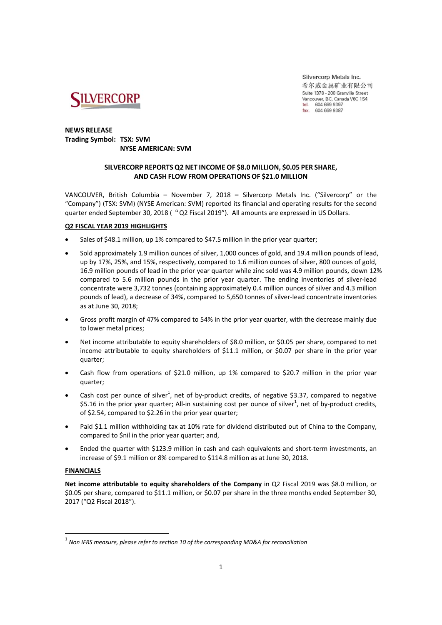

Silvercorp Metals Inc. 希尔威金属矿业有限公司 Suite 1378 - 200 Granville Street Vancouver, BC, Canada V6C 1S4 604 669 9397 tel fax. 604 669 9387

### **NEWS RELEASE Trading Symbol: TSX: SVM NYSE AMERICAN: SVM**

### **SILVERCORP REPORTS Q2 NET INCOME OF \$8.0 MILLION, \$0.05 PER SHARE, AND CASH FLOW FROM OPERATIONS OF \$21.0 MILLION**

VANCOUVER, British Columbia – November 7, 2018 **–** Silvercorp Metals Inc. ("Silvercorp" or the "Company") (TSX: SVM) (NYSE American: SVM) reported its financial and operating results for the second quarter ended September 30, 2018 ("Q2 Fiscal 2019"). All amounts are expressed in US Dollars.

### **Q2 FISCAL YEAR 2019 HIGHLIGHTS**

- Sales of \$48.1 million, up 1% compared to \$47.5 million in the prior year quarter;
- Sold approximately 1.9 million ounces of silver, 1,000 ounces of gold, and 19.4 million pounds of lead, up by 17%, 25%, and 15%, respectively, compared to 1.6 million ounces of silver, 800 ounces of gold, 16.9 million pounds of lead in the prior year quarter while zinc sold was 4.9 million pounds, down 12% compared to 5.6 million pounds in the prior year quarter. The ending inventories of silver-lead concentrate were 3,732 tonnes (containing approximately 0.4 million ounces of silver and 4.3 million pounds of lead), a decrease of 34%, compared to 5,650 tonnes of silver-lead concentrate inventories as at June 30, 2018;
- Gross profit margin of 47% compared to 54% in the prior year quarter, with the decrease mainly due to lower metal prices;
- Net income attributable to equity shareholders of \$8.0 million, or \$0.05 per share, compared to net income attributable to equity shareholders of \$11.1 million, or \$0.07 per share in the prior year quarter;
- Cash flow from operations of \$21.0 million, up 1% compared to \$20.7 million in the prior year quarter;
- Cash cost per ounce of silver<sup>1</sup>, net of by-product credits, of negative \$3.37, compared to negative \$5.16 in the prior year quarter; All-in sustaining cost per ounce of silver<sup>1</sup>, net of by-product credits, of \$2.54, compared to \$2.26 in the prior year quarter;
- Paid \$1.1 million withholding tax at 10% rate for dividend distributed out of China to the Company, compared to \$nil in the prior year quarter; and,
- Ended the quarter with \$123.9 million in cash and cash equivalents and short-term investments, an increase of \$9.1 million or 8% compared to \$114.8 million as at June 30, 2018.

### **FINANCIALS**

**Net income attributable to equity shareholders of the Company** in Q2 Fiscal 2019 was \$8.0 million, or \$0.05 per share, compared to \$11.1 million, or \$0.07 per share in the three months ended September 30, 2017 ("Q2 Fiscal 2018").

<sup>1</sup> *Non IFRS measure, please refer to section 10 of the corresponding MD&A for reconciliation*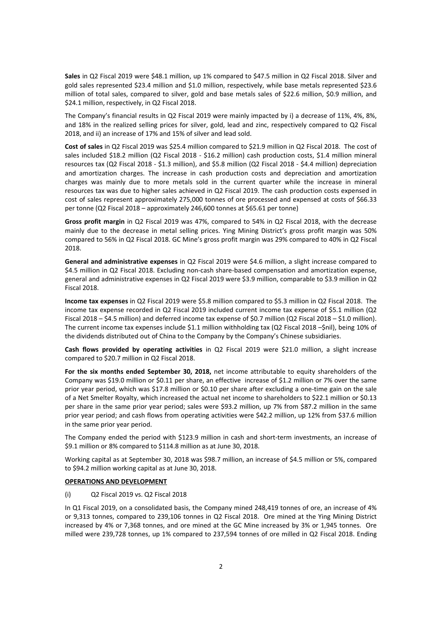**Sales** in Q2 Fiscal 2019 were \$48.1 million, up 1% compared to \$47.5 million in Q2 Fiscal 2018. Silver and gold sales represented \$23.4 million and \$1.0 million, respectively, while base metals represented \$23.6 million of total sales, compared to silver, gold and base metals sales of \$22.6 million, \$0.9 million, and \$24.1 million, respectively, in Q2 Fiscal 2018.

The Company's financial results in Q2 Fiscal 2019 were mainly impacted by i) a decrease of 11%, 4%, 8%, and 18% in the realized selling prices for silver, gold, lead and zinc, respectively compared to Q2 Fiscal 2018, and ii) an increase of 17% and 15% of silver and lead sold.

**Cost of sales** in Q2 Fiscal 2019 was \$25.4 million compared to \$21.9 million in Q2 Fiscal 2018. The cost of sales included \$18.2 million (Q2 Fiscal 2018 - \$16.2 million) cash production costs, \$1.4 million mineral resources tax (Q2 Fiscal 2018 ‐ \$1.3 million), and \$5.8 million (Q2 Fiscal 2018 ‐ \$4.4 million) depreciation and amortization charges. The increase in cash production costs and depreciation and amortization charges was mainly due to more metals sold in the current quarter while the increase in mineral resources tax was due to higher sales achieved in Q2 Fiscal 2019. The cash production costs expensed in cost of sales represent approximately 275,000 tonnes of ore processed and expensed at costs of \$66.33 per tonne (Q2 Fiscal 2018 – approximately 246,600 tonnes at \$65.61 per tonne)

**Gross profit margin** in Q2 Fiscal 2019 was 47%, compared to 54% in Q2 Fiscal 2018, with the decrease mainly due to the decrease in metal selling prices. Ying Mining District's gross profit margin was 50% compared to 56% in Q2 Fiscal 2018. GC Mine's gross profit margin was 29% compared to 40% in Q2 Fiscal 2018.

**General and administrative expenses** in Q2 Fiscal 2019 were \$4.6 million, a slight increase compared to \$4.5 million in Q2 Fiscal 2018. Excluding non-cash share-based compensation and amortization expense, general and administrative expenses in Q2 Fiscal 2019 were \$3.9 million, comparable to \$3.9 million in Q2 Fiscal 2018.

**Income tax expenses** in Q2 Fiscal 2019 were \$5.8 million compared to \$5.3 million in Q2 Fiscal 2018. The income tax expense recorded in Q2 Fiscal 2019 included current income tax expense of \$5.1 million (Q2 Fiscal 2018 – \$4.5 million) and deferred income tax expense of \$0.7 million (Q2 Fiscal 2018 – \$1.0 million). The current income tax expenses include \$1.1 million withholding tax (Q2 Fiscal 2018 –\$nil), being 10% of the dividends distributed out of China to the Company by the Company's Chinese subsidiaries.

**Cash flows provided by operating activities** in Q2 Fiscal 2019 were \$21.0 million, a slight increase compared to \$20.7 million in Q2 Fiscal 2018.

**For the six months ended September 30, 2018,** net income attributable to equity shareholders of the Company was \$19.0 million or \$0.11 per share, an effective increase of \$1.2 million or 7% over the same prior year period, which was \$17.8 million or \$0.10 per share after excluding a one-time gain on the sale of a Net Smelter Royalty, which increased the actual net income to shareholders to \$22.1 million or \$0.13 per share in the same prior year period; sales were \$93.2 million, up 7% from \$87.2 million in the same prior year period; and cash flows from operating activities were \$42.2 million, up 12% from \$37.6 million in the same prior year period.

The Company ended the period with \$123.9 million in cash and short-term investments, an increase of \$9.1 million or 8% compared to \$114.8 million as at June 30, 2018.

Working capital as at September 30, 2018 was \$98.7 million, an increase of \$4.5 million or 5%, compared to \$94.2 million working capital as at June 30, 2018.

### **OPERATIONS AND DEVELOPMENT**

### (i) Q2 Fiscal 2019 vs. Q2 Fiscal 2018

In Q1 Fiscal 2019, on a consolidated basis, the Company mined 248,419 tonnes of ore, an increase of 4% or 9,313 tonnes, compared to 239,106 tonnes in Q2 Fiscal 2018. Ore mined at the Ying Mining District increased by 4% or 7,368 tonnes, and ore mined at the GC Mine increased by 3% or 1,945 tonnes. Ore milled were 239,728 tonnes, up 1% compared to 237,594 tonnes of ore milled in Q2 Fiscal 2018. Ending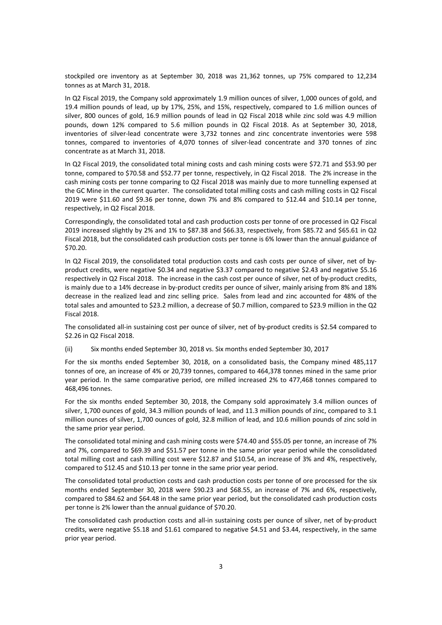stockpiled ore inventory as at September 30, 2018 was 21,362 tonnes, up 75% compared to 12,234 tonnes as at March 31, 2018.

In Q2 Fiscal 2019, the Company sold approximately 1.9 million ounces of silver, 1,000 ounces of gold, and 19.4 million pounds of lead, up by 17%, 25%, and 15%, respectively, compared to 1.6 million ounces of silver, 800 ounces of gold, 16.9 million pounds of lead in Q2 Fiscal 2018 while zinc sold was 4.9 million pounds, down 12% compared to 5.6 million pounds in Q2 Fiscal 2018. As at September 30, 2018, inventories of silver-lead concentrate were 3,732 tonnes and zinc concentrate inventories were 598 tonnes, compared to inventories of 4,070 tonnes of silver-lead concentrate and 370 tonnes of zinc concentrate as at March 31, 2018.

In Q2 Fiscal 2019, the consolidated total mining costs and cash mining costs were \$72.71 and \$53.90 per tonne, compared to \$70.58 and \$52.77 per tonne, respectively, in Q2 Fiscal 2018. The 2% increase in the cash mining costs per tonne comparing to Q2 Fiscal 2018 was mainly due to more tunnelling expensed at the GC Mine in the current quarter. The consolidated total milling costs and cash milling costs in Q2 Fiscal 2019 were \$11.60 and \$9.36 per tonne, down 7% and 8% compared to \$12.44 and \$10.14 per tonne, respectively, in Q2 Fiscal 2018.

Correspondingly, the consolidated total and cash production costs per tonne of ore processed in Q2 Fiscal 2019 increased slightly by 2% and 1% to \$87.38 and \$66.33, respectively, from \$85.72 and \$65.61 in Q2 Fiscal 2018, but the consolidated cash production costs per tonne is 6% lower than the annual guidance of \$70.20.

In Q2 Fiscal 2019, the consolidated total production costs and cash costs per ounce of silver, net of byproduct credits, were negative \$0.34 and negative \$3.37 compared to negative \$2.43 and negative \$5.16 respectively in Q2 Fiscal 2018. The increase in the cash cost per ounce of silver, net of by‐product credits, is mainly due to a 14% decrease in by-product credits per ounce of silver, mainly arising from 8% and 18% decrease in the realized lead and zinc selling price. Sales from lead and zinc accounted for 48% of the total sales and amounted to \$23.2 million, a decrease of \$0.7 million, compared to \$23.9 million in the Q2 Fiscal 2018.

The consolidated all-in sustaining cost per ounce of silver, net of by-product credits is \$2.54 compared to \$2.26 in Q2 Fiscal 2018.

(ii) Six months ended September 30, 2018 vs. Six months ended September 30, 2017

For the six months ended September 30, 2018, on a consolidated basis, the Company mined 485,117 tonnes of ore, an increase of 4% or 20,739 tonnes, compared to 464,378 tonnes mined in the same prior year period. In the same comparative period, ore milled increased 2% to 477,468 tonnes compared to 468,496 tonnes.

For the six months ended September 30, 2018, the Company sold approximately 3.4 million ounces of silver, 1,700 ounces of gold, 34.3 million pounds of lead, and 11.3 million pounds of zinc, compared to 3.1 million ounces of silver, 1,700 ounces of gold, 32.8 million of lead, and 10.6 million pounds of zinc sold in the same prior year period.

The consolidated total mining and cash mining costs were \$74.40 and \$55.05 per tonne, an increase of 7% and 7%, compared to \$69.39 and \$51.57 per tonne in the same prior year period while the consolidated total milling cost and cash milling cost were \$12.87 and \$10.54, an increase of 3% and 4%, respectively, compared to \$12.45 and \$10.13 per tonne in the same prior year period.

The consolidated total production costs and cash production costs per tonne of ore processed for the six months ended September 30, 2018 were \$90.23 and \$68.55, an increase of 7% and 6%, respectively, compared to \$84.62 and \$64.48 in the same prior year period, but the consolidated cash production costs per tonne is 2% lower than the annual guidance of \$70.20.

The consolidated cash production costs and all-in sustaining costs per ounce of silver, net of by-product credits, were negative \$5.18 and \$1.61 compared to negative \$4.51 and \$3.44, respectively, in the same prior year period.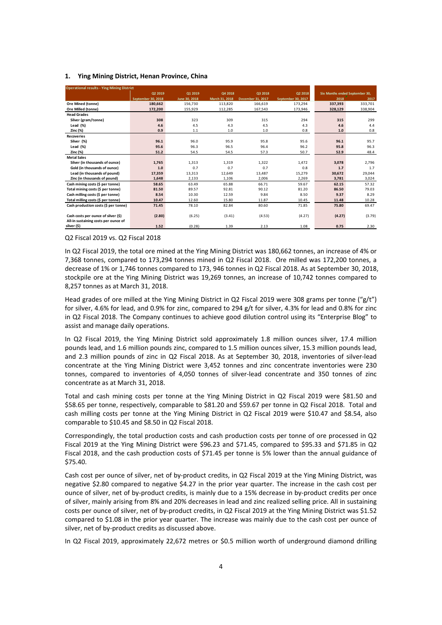### **1. Ying Mining District, Henan Province, China**

| <b>Operational results - Ying Mining District</b> |                    |               |                |                          |                    |         |                                |
|---------------------------------------------------|--------------------|---------------|----------------|--------------------------|--------------------|---------|--------------------------------|
|                                                   | Q2 2019            | 01 2019       | Q4 2018        | Q3 2018                  | <b>Q2 2018</b>     |         | Six Months ended September 30, |
|                                                   | September 30, 2018 | June 30, 2018 | March 31, 2018 | <b>December 31, 2017</b> | September 30, 2017 | 2018    | 2017                           |
| Ore Mined (tonne)                                 | 180.662            | 156,730       | 113,820        | 166,619                  | 173,294            | 337,393 | 333,701                        |
| Ore Milled (tonne)                                | 172,200            | 155,929       | 112,285        | 167,543                  | 173,946            | 328,129 | 338,904                        |
| <b>Head Grades</b>                                |                    |               |                |                          |                    |         |                                |
| Silver (gram/tonne)                               | 308                | 323           | 309            | 315                      | 294                | 315     | 299                            |
| Lead (%)                                          | 4.6                | 4.5           | 4.3            | 4.5                      | 4.3                | 4.6     | 4.4                            |
| Zinc (%)                                          | 0.9                | 1.1           | $1.0$          | 1.0                      | 0.8                | 1.0     | $0.8\,$                        |
| <b>Recoveries</b>                                 |                    |               |                |                          |                    |         |                                |
| Silver (%)                                        | 96.1               | 96.0          | 95.9           | 95.8                     | 95.6               | 96.1    | 95.7                           |
| Lead (%)                                          | 95.6               | 96.3          | 96.5           | 96.4                     | 96.2               | 95.8    | 96.3                           |
| Zinc (%)                                          | 51.2               | 54.5          | 54.5           | 57.3                     | 50.7               | 52.9    | 48.4                           |
| <b>Metal Sales</b>                                |                    |               |                |                          |                    |         |                                |
| Silver (in thousands of ounce)                    | 1,765              | 1,313         | 1,319          | 1,322                    | 1,472              | 3,078   | 2,796                          |
| Gold (in thousands of ounce)                      | 1.0                | 0.7           | 0.7            | 0.7                      | 0.8                | 1.7     | 1.7                            |
| Lead (in thousands of pound)                      | 17,359             | 13,313        | 12,649         | 13,487                   | 15,279             | 30,672  | 29,044                         |
| Zinc (in thousands of pound)                      | 1,648              | 2,133         | 1.106          | 2.006                    | 2,269              | 3,781   | 3,024                          |
| Cash mining costs (\$ per tonne)                  | 58.65              | 63.49         | 65.88          | 66.71                    | 59.67              | 62.15   | 57.32                          |
| Total mining costs (\$ per tonne)                 | 81.50              | 89.57         | 92.81          | 90.12                    | 81.20              | 86.50   | 79.03                          |
| Cash milling costs (\$ per tonne)                 | 8.54               | 10.30         | 12.59          | 9.84                     | 8.50               | 9.37    | 8.29                           |
| Total milling costs (\$ per tonne)                | 10.47              | 12.60         | 15.80          | 11.87                    | 10.45              | 11.48   | 10.28                          |
| Cash production costs (\$ per tonne)              | 71.45              | 78.10         | 82.84          | 80.60                    | 71.85              | 75.80   | 69.47                          |
|                                                   |                    |               |                |                          |                    |         |                                |
| Cash costs per ounce of silver (\$)               | (2.80)             | (6.25)        | (3.41)         | (4.53)                   | (4.27)             | (4.27)  | (3.79)                         |
| All-in sustaining costs per ounce of              |                    |               |                |                          |                    |         |                                |
| silver (\$)                                       | 1.52               | (0.28)        | 1.39           | 2.13                     | 1.08               | 0.75    | 2.30                           |

### Q2 Fiscal 2019 vs. Q2 Fiscal 2018

In Q2 Fiscal 2019, the total ore mined at the Ying Mining District was 180,662 tonnes, an increase of 4% or 7,368 tonnes, compared to 173,294 tonnes mined in Q2 Fiscal 2018. Ore milled was 172,200 tonnes, a decrease of 1% or 1,746 tonnes compared to 173, 946 tonnes in Q2 Fiscal 2018. As at September 30, 2018, stockpile ore at the Ying Mining District was 19,269 tonnes, an increase of 10,742 tonnes compared to 8,257 tonnes as at March 31, 2018.

Head grades of ore milled at the Ying Mining District in Q2 Fiscal 2019 were 308 grams per tonne ("g/t") for silver, 4.6% for lead, and 0.9% for zinc, compared to 294 g/t for silver, 4.3% for lead and 0.8% for zinc in Q2 Fiscal 2018. The Company continues to achieve good dilution control using its "Enterprise Blog" to assist and manage daily operations.

In Q2 Fiscal 2019, the Ying Mining District sold approximately 1.8 million ounces silver, 17.4 million pounds lead, and 1.6 million pounds zinc, compared to 1.5 million ounces silver, 15.3 million pounds lead, and 2.3 million pounds of zinc in Q2 Fiscal 2018. As at September 30, 2018, inventories of silver-lead concentrate at the Ying Mining District were 3,452 tonnes and zinc concentrate inventories were 230 tonnes, compared to inventories of 4,050 tonnes of silver‐lead concentrate and 350 tonnes of zinc concentrate as at March 31, 2018.

Total and cash mining costs per tonne at the Ying Mining District in Q2 Fiscal 2019 were \$81.50 and \$58.65 per tonne, respectively, comparable to \$81.20 and \$59.67 per tonne in Q2 Fiscal 2018. Total and cash milling costs per tonne at the Ying Mining District in Q2 Fiscal 2019 were \$10.47 and \$8.54, also comparable to \$10.45 and \$8.50 in Q2 Fiscal 2018.

Correspondingly, the total production costs and cash production costs per tonne of ore processed in Q2 Fiscal 2019 at the Ying Mining District were \$96.23 and \$71.45, compared to \$95.33 and \$71.85 in Q2 Fiscal 2018, and the cash production costs of \$71.45 per tonne is 5% lower than the annual guidance of \$75.40.

Cash cost per ounce of silver, net of by‐product credits, in Q2 Fiscal 2019 at the Ying Mining District, was negative \$2.80 compared to negative \$4.27 in the prior year quarter. The increase in the cash cost per ounce of silver, net of by‐product credits, is mainly due to a 15% decrease in by‐product credits per once of silver, mainly arising from 8% and 20% decreases in lead and zinc realized selling price. All in sustaining costs per ounce of silver, net of by‐product credits, in Q2 Fiscal 2019 at the Ying Mining District was \$1.52 compared to \$1.08 in the prior year quarter. The increase was mainly due to the cash cost per ounce of silver, net of by‐product credits as discussed above.

In Q2 Fiscal 2019, approximately 22,672 metres or \$0.5 million worth of underground diamond drilling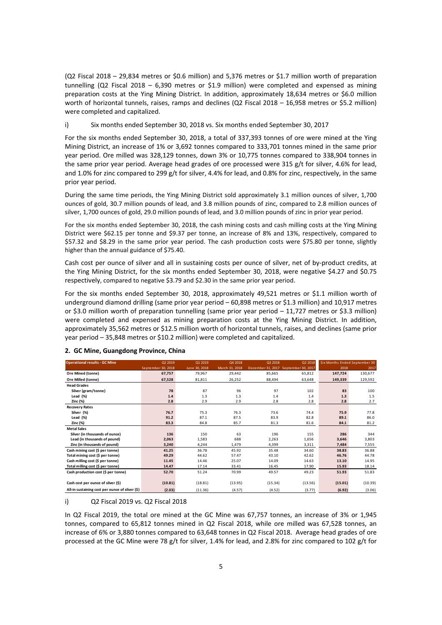(Q2 Fiscal 2018 – 29,834 metres or \$0.6 million) and 5,376 metres or \$1.7 million worth of preparation tunnelling (Q2 Fiscal 2018 – 6,390 metres or \$1.9 million) were completed and expensed as mining preparation costs at the Ying Mining District. In addition, approximately 18,634 metres or \$6.0 million worth of horizontal tunnels, raises, ramps and declines (Q2 Fiscal 2018 – 16,958 metres or \$5.2 million) were completed and capitalized.

i) Six months ended September 30, 2018 vs. Six months ended September 30, 2017

For the six months ended September 30, 2018, a total of 337,393 tonnes of ore were mined at the Ying Mining District, an increase of 1% or 3,692 tonnes compared to 333,701 tonnes mined in the same prior year period. Ore milled was 328,129 tonnes, down 3% or 10,775 tonnes compared to 338,904 tonnes in the same prior year period. Average head grades of ore processed were 315 g/t for silver, 4.6% for lead, and 1.0% for zinc compared to 299 g/t for silver, 4.4% for lead, and 0.8% for zinc, respectively, in the same prior year period.

During the same time periods, the Ying Mining District sold approximately 3.1 million ounces of silver, 1,700 ounces of gold, 30.7 million pounds of lead, and 3.8 million pounds of zinc, compared to 2.8 million ounces of silver, 1,700 ounces of gold, 29.0 million pounds of lead, and 3.0 million pounds of zinc in prior year period.

For the six months ended September 30, 2018, the cash mining costs and cash milling costs at the Ying Mining District were \$62.15 per tonne and \$9.37 per tonne, an increase of 8% and 13%, respectively, compared to \$57.32 and \$8.29 in the same prior year period. The cash production costs were \$75.80 per tonne, slightly higher than the annual guidance of \$75.40.

Cash cost per ounce of silver and all in sustaining costs per ounce of silver, net of by‐product credits, at the Ying Mining District, for the six months ended September 30, 2018, were negative \$4.27 and \$0.75 respectively, compared to negative \$3.79 and \$2.30 in the same prior year period.

For the six months ended September 30, 2018, approximately 49,521 metres or \$1.1 million worth of underground diamond drilling (same prior year period – 60,898 metres or \$1.3 million) and 10,917 metres or \$3.0 million worth of preparation tunnelling (same prior year period – 11,727 metres or \$3.3 million) were completed and expensed as mining preparation costs at the Ying Mining District. In addition, approximately 35,562 metres or \$12.5 million worth of horizontal tunnels, raises, and declines (same prior year period – 35,848 metres or \$10.2 million) were completed and capitalized.

| <b>Operational results - GC Mine</b>            | Q2 2019            | Q1 2019       | Q4 2018        | Q3 2018 | Q2 2018                              | Six Months Ended September 30 |         |
|-------------------------------------------------|--------------------|---------------|----------------|---------|--------------------------------------|-------------------------------|---------|
|                                                 | September 30, 2018 | June 30, 2018 | March 31, 2018 |         | December 31, 2017 September 30, 2017 | 2018                          | 2017    |
| Ore Mined (tonne)                               | 67,757             | 79,967        | 29,442         | 85,665  | 65,812                               | 147,724                       | 130,677 |
| Ore Milled (tonne)                              | 67,528             | 81,811        | 26,252         | 88,494  | 63,648                               | 149,339                       | 129,592 |
| <b>Head Grades</b>                              |                    |               |                |         |                                      |                               |         |
| Silver (gram/tonne)                             | 78                 | 87            | 96             | 97      | 102                                  | 83                            | 100     |
| Lead $(*)$                                      | 1.4                | 1.3           | 1.3            | 1.4     | 1.4                                  | 1.3                           | 1.5     |
| Zinc (%)                                        | 2.8                | 2.9           | 2.9            | 2.8     | 2.8                                  | 2.8                           | 2.7     |
| <b>Recovery Rates</b>                           |                    |               |                |         |                                      |                               |         |
| Silver (%)                                      | 76.7               | 75.3          | 76.3           | 73.6    | 74.4                                 | 75.9                          | 77.8    |
| Lead (%)                                        | 91.2               | 87.1          | 87.5           | 83.9    | 82.8                                 | 89.1                          | 86.0    |
| Zinc (%)                                        | 83.3               | 84.8          | 85.7           | 81.3    | 81.6                                 | 84.1                          | 81.2    |
| <b>Metal Sales</b>                              |                    |               |                |         |                                      |                               |         |
| Silver (in thousands of ounce)                  | 136                | 150           | 63             | 196     | 155                                  | 286                           | 344     |
| Lead (in thousands of pound)                    | 2,063              | 1,583         | 688            | 2,263   | 1,656                                | 3,646                         | 3,803   |
| Zinc (in thousands of pound)                    | 3.240              | 4,244         | 1,479          | 4.399   | 3,311                                | 7,484                         | 7,555   |
| Cash mining cost (\$ per tonne)                 | 41.25              | 36.78         | 45.92          | 35.48   | 34.60                                | 38.83                         | 36.88   |
| Total mining cost (\$ per tonne)                | 49.29              | 44.62         | 57.47          | 43.10   | 42.62                                | 46.76                         | 44.78   |
| Cash milling cost (\$ per tonne)                | 11.45              | 14.46         | 25.07          | 14.09   | 14.63                                | 13.10                         | 14.95   |
| Total milling cost (\$ per tonne)               | 14.47              | 17.14         | 33.41          | 16.45   | 17.90                                | 15.93                         | 18.14   |
| Cash production cost (\$ per tonne)             | 52.70              | 51.24         | 70.99          | 49.57   | 49.23                                | 51.93                         | 51.83   |
|                                                 |                    |               |                |         |                                      |                               |         |
| Cash cost per ounce of silver (\$)              | (10.81)            | (18.81)       | (13.95)        | (15.34) | (13.56)                              | (15.01)                       | (10.39) |
| All-in sustaining cost per ounce of silver (\$) | (2.03)             | (11.36)       | (4.57)         | (4.52)  | (3.77)                               | (6.92)                        | (3.06)  |

#### **2. GC Mine, Guangdong Province, China**

### i) Q2 Fiscal 2019 vs. Q2 Fiscal 2018

In Q2 Fiscal 2019, the total ore mined at the GC Mine was 67,757 tonnes, an increase of 3% or 1,945 tonnes, compared to 65,812 tonnes mined in Q2 Fiscal 2018, while ore milled was 67,528 tonnes, an increase of 6% or 3,880 tonnes compared to 63,648 tonnes in Q2 Fiscal 2018. Average head grades of ore processed at the GC Mine were 78 g/t for silver, 1.4% for lead, and 2.8% for zinc compared to 102 g/t for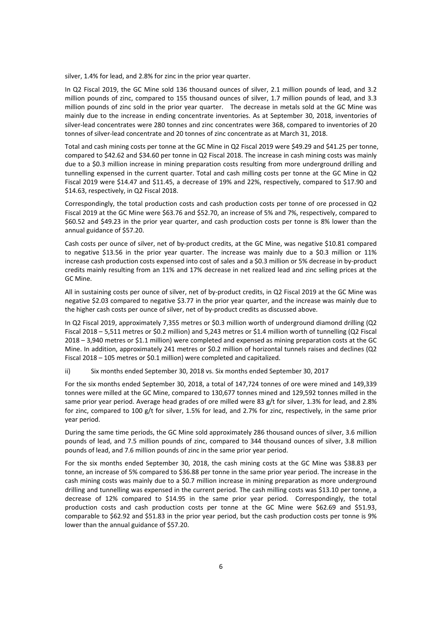silver, 1.4% for lead, and 2.8% for zinc in the prior year quarter.

In Q2 Fiscal 2019, the GC Mine sold 136 thousand ounces of silver, 2.1 million pounds of lead, and 3.2 million pounds of zinc, compared to 155 thousand ounces of silver, 1.7 million pounds of lead, and 3.3 million pounds of zinc sold in the prior year quarter. The decrease in metals sold at the GC Mine was mainly due to the increase in ending concentrate inventories. As at September 30, 2018, inventories of silver-lead concentrates were 280 tonnes and zinc concentrates were 368, compared to inventories of 20 tonnes of silver‐lead concentrate and 20 tonnes of zinc concentrate as at March 31, 2018.

Total and cash mining costs per tonne at the GC Mine in Q2 Fiscal 2019 were \$49.29 and \$41.25 per tonne, compared to \$42.62 and \$34.60 per tonne in Q2 Fiscal 2018. The increase in cash mining costs was mainly due to a \$0.3 million increase in mining preparation costs resulting from more underground drilling and tunnelling expensed in the current quarter. Total and cash milling costs per tonne at the GC Mine in Q2 Fiscal 2019 were \$14.47 and \$11.45, a decrease of 19% and 22%, respectively, compared to \$17.90 and \$14.63, respectively, in Q2 Fiscal 2018.

Correspondingly, the total production costs and cash production costs per tonne of ore processed in Q2 Fiscal 2019 at the GC Mine were \$63.76 and \$52.70, an increase of 5% and 7%, respectively, compared to \$60.52 and \$49.23 in the prior year quarter, and cash production costs per tonne is 8% lower than the annual guidance of \$57.20.

Cash costs per ounce of silver, net of by‐product credits, at the GC Mine, was negative \$10.81 compared to negative \$13.56 in the prior year quarter. The increase was mainly due to a \$0.3 million or 11% increase cash production costs expensed into cost of sales and a \$0.3 million or 5% decrease in by‐product credits mainly resulting from an 11% and 17% decrease in net realized lead and zinc selling prices at the GC Mine.

All in sustaining costs per ounce of silver, net of by‐product credits, in Q2 Fiscal 2019 at the GC Mine was negative \$2.03 compared to negative \$3.77 in the prior year quarter, and the increase was mainly due to the higher cash costs per ounce of silver, net of by‐product credits as discussed above.

In Q2 Fiscal 2019, approximately 7,355 metres or \$0.3 million worth of underground diamond drilling (Q2 Fiscal 2018 – 5,511 metres or \$0.2 million) and 5,243 metres or \$1.4 million worth of tunnelling (Q2 Fiscal 2018 – 3,940 metres or \$1.1 million) were completed and expensed as mining preparation costs at the GC Mine. In addition, approximately 241 metres or \$0.2 million of horizontal tunnels raises and declines (Q2 Fiscal 2018 – 105 metres or \$0.1 million) were completed and capitalized.

ii) Six months ended September 30, 2018 vs. Six months ended September 30, 2017

For the six months ended September 30, 2018, a total of 147,724 tonnes of ore were mined and 149,339 tonnes were milled at the GC Mine, compared to 130,677 tonnes mined and 129,592 tonnes milled in the same prior year period. Average head grades of ore milled were 83 g/t for silver, 1.3% for lead, and 2.8% for zinc, compared to 100 g/t for silver, 1.5% for lead, and 2.7% for zinc, respectively, in the same prior year period.

During the same time periods, the GC Mine sold approximately 286 thousand ounces of silver, 3.6 million pounds of lead, and 7.5 million pounds of zinc, compared to 344 thousand ounces of silver, 3.8 million pounds of lead, and 7.6 million pounds of zinc in the same prior year period.

For the six months ended September 30, 2018, the cash mining costs at the GC Mine was \$38.83 per tonne, an increase of 5% compared to \$36.88 per tonne in the same prior year period. The increase in the cash mining costs was mainly due to a \$0.7 million increase in mining preparation as more underground drilling and tunnelling was expensed in the current period. The cash milling costs was \$13.10 per tonne, a decrease of 12% compared to \$14.95 in the same prior year period. Correspondingly, the total production costs and cash production costs per tonne at the GC Mine were \$62.69 and \$51.93, comparable to \$62.92 and \$51.83 in the prior year period, but the cash production costs per tonne is 9% lower than the annual guidance of \$57.20.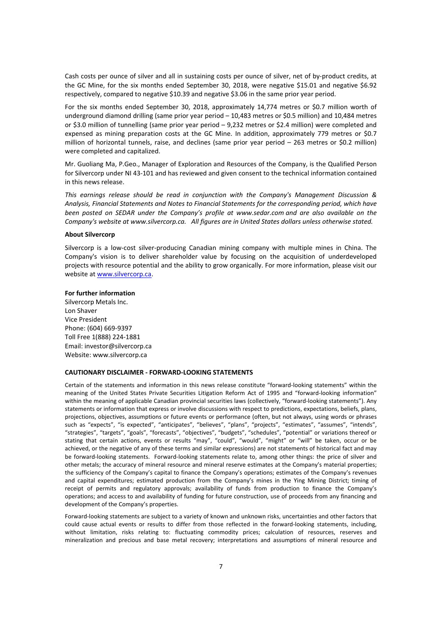Cash costs per ounce of silver and all in sustaining costs per ounce of silver, net of by‐product credits, at the GC Mine, for the six months ended September 30, 2018, were negative \$15.01 and negative \$6.92 respectively, compared to negative \$10.39 and negative \$3.06 in the same prior year period.

For the six months ended September 30, 2018, approximately 14,774 metres or \$0.7 million worth of underground diamond drilling (same prior year period – 10,483 metres or \$0.5 million) and 10,484 metres or \$3.0 million of tunnelling (same prior year period – 9,232 metres or \$2.4 million) were completed and expensed as mining preparation costs at the GC Mine. In addition, approximately 779 metres or \$0.7 million of horizontal tunnels, raise, and declines (same prior year period – 263 metres or \$0.2 million) were completed and capitalized.

Mr. Guoliang Ma, P.Geo., Manager of Exploration and Resources of the Company, is the Qualified Person for Silvercorp under NI 43‐101 and has reviewed and given consent to the technical information contained in this news release.

*This earnings release should be read in conjunction with the Company's Management Discussion & Analysis, Financial Statements and Notes to Financial Statements for the corresponding period, which have been posted on SEDAR under the Company's profile at www.sedar.com and are also available on the Company's website at www.silvercorp.ca. All figures are in United States dollars unless otherwise stated.*

### **About Silvercorp**

Silvercorp is a low-cost silver-producing Canadian mining company with multiple mines in China. The Company's vision is to deliver shareholder value by focusing on the acquisition of underdeveloped projects with resource potential and the ability to grow organically. For more information, please visit our website at www.silvercorp.ca.

#### **For further information**

Silvercorp Metals Inc. Lon Shaver Vice President Phone: (604) 669‐9397 Toll Free 1(888) 224‐1881 Email: investor@silvercorp.ca Website: www.silvercorp.ca

### **CAUTIONARY DISCLAIMER ‐ FORWARD‐LOOKING STATEMENTS**

Certain of the statements and information in this news release constitute "forward‐looking statements" within the meaning of the United States Private Securities Litigation Reform Act of 1995 and "forward-looking information" within the meaning of applicable Canadian provincial securities laws (collectively, "forward-looking statements"). Any statements or information that express or involve discussions with respect to predictions, expectations, beliefs, plans, projections, objectives, assumptions or future events or performance (often, but not always, using words or phrases such as "expects", "is expected", "anticipates", "believes", "plans", "projects", "estimates", "assumes", "intends", "strategies", "targets", "goals", "forecasts", "objectives", "budgets", "schedules", "potential" or variations thereof or stating that certain actions, events or results "may", "could", "would", "might" or "will" be taken, occur or be achieved, or the negative of any of these terms and similar expressions) are not statements of historical fact and may be forward-looking statements. Forward-looking statements relate to, among other things: the price of silver and other metals; the accuracy of mineral resource and mineral reserve estimates at the Company's material properties; the sufficiency of the Company's capital to finance the Company's operations; estimates of the Company's revenues and capital expenditures; estimated production from the Company's mines in the Ying Mining District; timing of receipt of permits and regulatory approvals; availability of funds from production to finance the Company's operations; and access to and availability of funding for future construction, use of proceeds from any financing and development of the Company's properties.

Forward‐looking statements are subject to a variety of known and unknown risks, uncertainties and other factors that could cause actual events or results to differ from those reflected in the forward‐looking statements, including, without limitation, risks relating to: fluctuating commodity prices; calculation of resources, reserves and mineralization and precious and base metal recovery; interpretations and assumptions of mineral resource and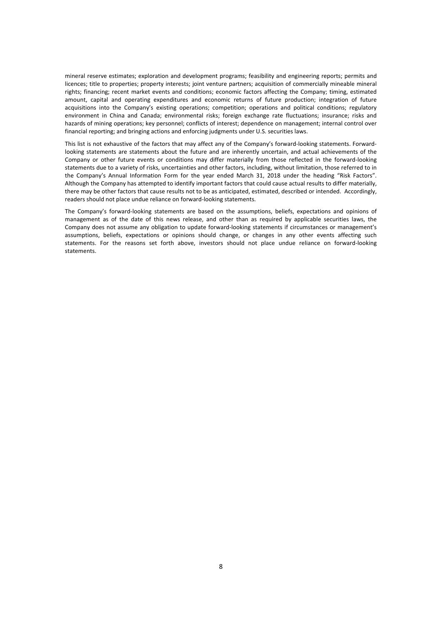mineral reserve estimates; exploration and development programs; feasibility and engineering reports; permits and licences; title to properties; property interests; joint venture partners; acquisition of commercially mineable mineral rights; financing; recent market events and conditions; economic factors affecting the Company; timing, estimated amount, capital and operating expenditures and economic returns of future production; integration of future acquisitions into the Company's existing operations; competition; operations and political conditions; regulatory environment in China and Canada; environmental risks; foreign exchange rate fluctuations; insurance; risks and hazards of mining operations; key personnel; conflicts of interest; dependence on management; internal control over financial reporting; and bringing actions and enforcing judgments under U.S. securities laws.

This list is not exhaustive of the factors that may affect any of the Company's forward‐looking statements. Forward‐ looking statements are statements about the future and are inherently uncertain, and actual achievements of the Company or other future events or conditions may differ materially from those reflected in the forward‐looking statements due to a variety of risks, uncertainties and other factors, including, without limitation, those referred to in the Company's Annual Information Form for the year ended March 31, 2018 under the heading "Risk Factors". Although the Company has attempted to identify important factors that could cause actual results to differ materially, there may be other factors that cause results not to be as anticipated, estimated, described or intended. Accordingly, readers should not place undue reliance on forward‐looking statements.

The Company's forward‐looking statements are based on the assumptions, beliefs, expectations and opinions of management as of the date of this news release, and other than as required by applicable securities laws, the Company does not assume any obligation to update forward‐looking statements if circumstances or management's assumptions, beliefs, expectations or opinions should change, or changes in any other events affecting such statements. For the reasons set forth above, investors should not place undue reliance on forward-looking statements.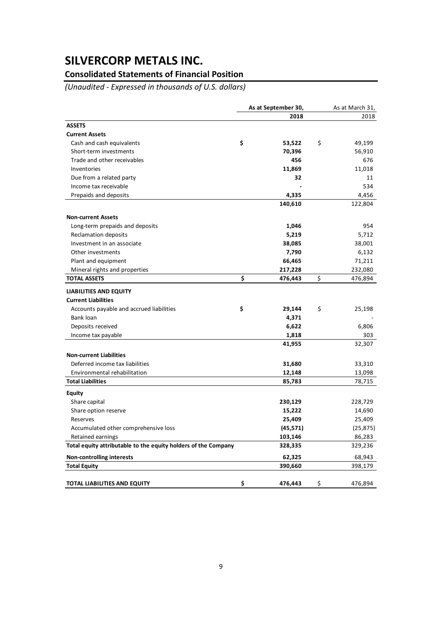### **Consolidated Statements of Financial Position**

*(Unaudited ‐ Expressed in thousands of U.S. dollars)*

|                                                                | As at September 30, | As at March 31, |
|----------------------------------------------------------------|---------------------|-----------------|
|                                                                | 2018                | 2018            |
| <b>ASSETS</b>                                                  |                     |                 |
| <b>Current Assets</b>                                          |                     |                 |
| Cash and cash equivalents                                      | \$<br>53,522        | \$<br>49,199    |
| Short-term investments                                         | 70,396              | 56,910          |
| Trade and other receivables                                    | 456                 | 676             |
| Inventories                                                    | 11,869              | 11,018          |
| Due from a related party                                       | 32                  | 11              |
| Income tax receivable                                          |                     | 534             |
| Prepaids and deposits                                          | 4,335               | 4,456           |
|                                                                | 140,610             | 122,804         |
| <b>Non-current Assets</b>                                      |                     |                 |
| Long-term prepaids and deposits                                | 1,046               | 954             |
| Reclamation deposits                                           | 5,219               | 5,712           |
| Investment in an associate                                     | 38,085              | 38,001          |
| Other investments                                              | 7,790               | 6,132           |
| Plant and equipment                                            | 66,465              | 71,211          |
| Mineral rights and properties                                  | 217,228             | 232,080         |
| <b>TOTAL ASSETS</b>                                            | \$<br>476,443       | \$<br>476,894   |
| LIABILITIES AND EQUITY                                         |                     |                 |
| <b>Current Liabilities</b>                                     |                     |                 |
| Accounts payable and accrued liabilities                       | \$<br>29,144        | \$<br>25,198    |
| Bank loan                                                      | 4,371               |                 |
| Deposits received                                              | 6,622               | 6,806           |
| Income tax payable                                             | 1,818               | 303             |
|                                                                | 41,955              | 32,307          |
| <b>Non-current Liabilities</b>                                 |                     |                 |
| Deferred income tax liabilities                                | 31,680              | 33,310          |
| Environmental rehabilitation                                   | 12,148              | 13,098          |
| <b>Total Liabilities</b>                                       | 85,783              | 78,715          |
| <b>Equity</b>                                                  |                     |                 |
| Share capital                                                  | 230,129             | 228,729         |
| Share option reserve                                           | 15,222              | 14,690          |
| Reserves                                                       | 25,409              | 25,409          |
| Accumulated other comprehensive loss                           | (45, 571)           | (25, 875)       |
| Retained earnings                                              | 103,146             | 86,283          |
| Total equity attributable to the equity holders of the Company | 328,335             | 329,236         |
| <b>Non-controlling interests</b>                               | 62,325              | 68,943          |
| <b>Total Equity</b>                                            | 390,660             | 398,179         |
|                                                                |                     |                 |
| <b>TOTAL LIABILITIES AND EQUITY</b>                            | \$<br>476,443       | \$<br>476,894   |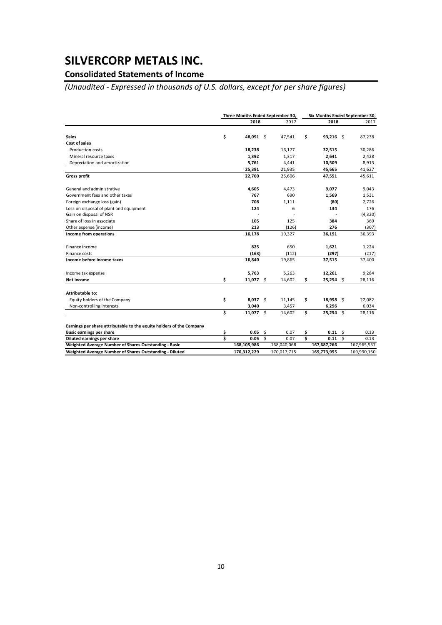## **Consolidated Statements of Income**

*(Unaudited ‐ Expressed in thousands of U.S. dollars, except for per share figures)*

|                                                                      |    | Three Months Ended September 30, |    |             |    | Six Months Ended September 30, |    |             |  |
|----------------------------------------------------------------------|----|----------------------------------|----|-------------|----|--------------------------------|----|-------------|--|
|                                                                      |    | 2018                             |    | 2017        |    | 2018                           |    | 2017        |  |
| <b>Sales</b>                                                         | \$ | 48,091 \$                        |    | 47,541      | \$ | $93,216$ \$                    |    | 87,238      |  |
| <b>Cost of sales</b>                                                 |    |                                  |    |             |    |                                |    |             |  |
| <b>Production costs</b>                                              |    | 18,238                           |    | 16,177      |    | 32,515                         |    | 30,286      |  |
| Mineral resource taxes                                               |    | 1,392                            |    | 1,317       |    | 2,641                          |    | 2,428       |  |
| Depreciation and amortization                                        |    | 5,761                            |    | 4,441       |    | 10,509                         |    | 8,913       |  |
|                                                                      |    | 25,391                           |    | 21,935      |    | 45,665                         |    | 41,627      |  |
| <b>Gross profit</b>                                                  |    | 22,700                           |    | 25,606      |    | 47,551                         |    | 45,611      |  |
| General and administrative                                           |    | 4,605                            |    | 4,473       |    | 9,077                          |    | 9,043       |  |
| Government fees and other taxes                                      |    | 767                              |    | 690         |    | 1,569                          |    | 1,531       |  |
| Foreign exchange loss (gain)                                         |    | 708                              |    | 1,111       |    | (80)                           |    | 2,726       |  |
| Loss on disposal of plant and equipment                              |    | 124                              |    | 6           |    | 134                            |    | 176         |  |
| Gain on disposal of NSR                                              |    |                                  |    |             |    |                                |    | (4,320)     |  |
| Share of loss in associate                                           |    | 105                              |    | 125         |    | 384                            |    | 369         |  |
| Other expense (income)                                               |    | 213                              |    | (126)       |    | 276                            |    | (307)       |  |
| Income from operations                                               |    | 16,178                           |    | 19,327      |    | 36,191                         |    | 36,393      |  |
| Finance income                                                       |    | 825                              |    | 650         |    | 1,621                          |    | 1,224       |  |
| Finance costs                                                        |    | (163)                            |    | (112)       |    | (297)                          |    | (217)       |  |
| Income before income taxes                                           |    | 16,840                           |    | 19,865      |    | 37,515                         |    | 37,400      |  |
| Income tax expense                                                   |    | 5,763                            |    | 5,263       |    | 12,261                         |    | 9,284       |  |
| Net income                                                           | \$ | 11,077 \$                        |    | 14,602      | \$ | $25,254$ \$                    |    | 28,116      |  |
| Attributable to:                                                     |    |                                  |    |             |    |                                |    |             |  |
| Equity holders of the Company                                        | \$ | $8,037$ \$                       |    | 11,145      | \$ | $18,958$ \$                    |    | 22,082      |  |
| Non-controlling interests                                            |    | 3,040                            |    | 3,457       |    | 6,296                          |    | 6,034       |  |
|                                                                      | \$ | 11,077 \$                        |    | 14,602      | \$ | $25,254$ \$                    |    | 28,116      |  |
| Earnings per share attributable to the equity holders of the Company |    |                                  |    |             |    |                                |    |             |  |
| <b>Basic earnings per share</b>                                      | \$ | 0.05                             | \$ | 0.07        | \$ | $0.11 \quad$ \$                |    | 0.13        |  |
| Diluted earnings per share                                           | Ś  | 0.05                             | Ŝ. | 0.07        | Ś  | 0.11                           | S. | 0.13        |  |
| Weighted Average Number of Shares Outstanding - Basic                |    | 168,105,986                      |    | 168,040,068 |    | 167,687,266                    |    | 167,965,537 |  |
| Weighted Average Number of Shares Outstanding - Diluted              |    | 170,312,229                      |    | 170,017,715 |    | 169,773,955                    |    | 169,990,150 |  |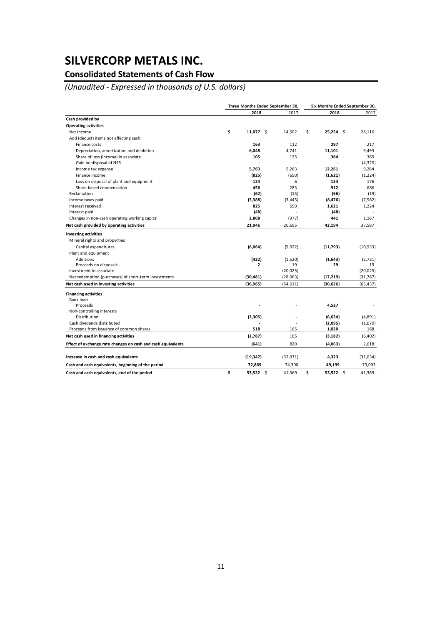## **Consolidated Statements of Cash Flow**

*(Unaudited ‐ Expressed in thousands of U.S. dollars)*

| 2018<br>2017<br>2018<br>2017<br>Cash provided by<br><b>Operating activities</b><br>\$<br>$11,077$ \$<br>\$<br>14,602<br>$25,254$ \$<br>28,116<br>Net income<br>Add (deduct) items not affecting cash:<br>163<br>112<br>297<br>217<br>Finance costs<br>6,048<br>4,741<br>11,101<br>9,493<br>Depreciation, amortization and depletion<br>Share of loss (income) in associate<br>105<br>125<br>384<br>369<br>Gain on disposal of NSR<br>(4, 320)<br>ż.<br>5.763<br>5,263<br>12,261<br>9,284<br>Income tax expense<br>Finance income<br>(825)<br>(650)<br>(1,621)<br>(1, 224)<br>124<br>6<br>134<br>Loss on disposal of plant and equipment<br>176<br>456<br>283<br>912<br>686<br>Share-based compensation<br>Reclamation<br>(62)<br>(15)<br>(66)<br>(19)<br>(5,388)<br>(3, 445)<br>(8, 476)<br>(7,582)<br>Income taxes paid<br>825<br>Interest received<br>650<br>1,621<br>1,224<br>(48)<br>Interest paid<br>(48)<br>2,808<br>(977)<br>441<br>1,167<br>Changes in non-cash operating working capital<br>Net cash provided by operating activities<br>20,695<br>42,194<br>21,046<br>37,587<br><b>Investing activities</b><br>Mineral rights and properties<br>Capital expenditures<br>(6,064)<br>(5,022)<br>(11,793)<br>(10, 933)<br>Plant and equipment<br>Additions<br>(422)<br>(1,520)<br>(1,643)<br>(2,731)<br>Proceeds on disposals<br>$\overline{2}$<br>19<br>29<br>19<br>(20, 025)<br>Investment in associate<br>(20, 025)<br>(30, 481)<br>(28,063)<br>(17, 219)<br>Net redemption (purchases) of short-term investments<br>(31,767)<br>Net cash used in investing activities<br>(36, 965)<br>(54, 611)<br>(30,626)<br>(65, 437)<br><b>Financing activities</b><br>Bank loan<br>4,527<br>Proceeds<br>Non-controlling interests<br>Distribution<br>(3,305)<br>(4,891)<br>(6,634)<br>Cash dividends distributed<br>(2,095)<br>(1,679)<br>Proceeds from issuance of common shares<br>518<br>165<br>1,020<br>168<br>(2,787)<br>Net cash used in financing activities<br>165<br>(3, 182)<br>(6,402)<br>820<br>Effect of exchange rate changes on cash and cash equivalents<br>(641)<br>(4,063)<br>2,618<br>Increase in cash and cash equivalents<br>(19, 347)<br>(32, 931)<br>4,323<br>(31, 634)<br>Cash and cash equivalents, beginning of the period<br>72,869<br>74,300<br>49,199<br>73,003 |                                              | Three Months Ended September 30, |        | Six Months Ended September 30, |        |  |
|----------------------------------------------------------------------------------------------------------------------------------------------------------------------------------------------------------------------------------------------------------------------------------------------------------------------------------------------------------------------------------------------------------------------------------------------------------------------------------------------------------------------------------------------------------------------------------------------------------------------------------------------------------------------------------------------------------------------------------------------------------------------------------------------------------------------------------------------------------------------------------------------------------------------------------------------------------------------------------------------------------------------------------------------------------------------------------------------------------------------------------------------------------------------------------------------------------------------------------------------------------------------------------------------------------------------------------------------------------------------------------------------------------------------------------------------------------------------------------------------------------------------------------------------------------------------------------------------------------------------------------------------------------------------------------------------------------------------------------------------------------------------------------------------------------------------------------------------------------------------------------------------------------------------------------------------------------------------------------------------------------------------------------------------------------------------------------------------------------------------------------------------------------------------------------------------------------------------------------------------------------------------------------------------|----------------------------------------------|----------------------------------|--------|--------------------------------|--------|--|
|                                                                                                                                                                                                                                                                                                                                                                                                                                                                                                                                                                                                                                                                                                                                                                                                                                                                                                                                                                                                                                                                                                                                                                                                                                                                                                                                                                                                                                                                                                                                                                                                                                                                                                                                                                                                                                                                                                                                                                                                                                                                                                                                                                                                                                                                                              |                                              |                                  |        |                                |        |  |
|                                                                                                                                                                                                                                                                                                                                                                                                                                                                                                                                                                                                                                                                                                                                                                                                                                                                                                                                                                                                                                                                                                                                                                                                                                                                                                                                                                                                                                                                                                                                                                                                                                                                                                                                                                                                                                                                                                                                                                                                                                                                                                                                                                                                                                                                                              |                                              |                                  |        |                                |        |  |
|                                                                                                                                                                                                                                                                                                                                                                                                                                                                                                                                                                                                                                                                                                                                                                                                                                                                                                                                                                                                                                                                                                                                                                                                                                                                                                                                                                                                                                                                                                                                                                                                                                                                                                                                                                                                                                                                                                                                                                                                                                                                                                                                                                                                                                                                                              |                                              |                                  |        |                                |        |  |
|                                                                                                                                                                                                                                                                                                                                                                                                                                                                                                                                                                                                                                                                                                                                                                                                                                                                                                                                                                                                                                                                                                                                                                                                                                                                                                                                                                                                                                                                                                                                                                                                                                                                                                                                                                                                                                                                                                                                                                                                                                                                                                                                                                                                                                                                                              |                                              |                                  |        |                                |        |  |
|                                                                                                                                                                                                                                                                                                                                                                                                                                                                                                                                                                                                                                                                                                                                                                                                                                                                                                                                                                                                                                                                                                                                                                                                                                                                                                                                                                                                                                                                                                                                                                                                                                                                                                                                                                                                                                                                                                                                                                                                                                                                                                                                                                                                                                                                                              |                                              |                                  |        |                                |        |  |
|                                                                                                                                                                                                                                                                                                                                                                                                                                                                                                                                                                                                                                                                                                                                                                                                                                                                                                                                                                                                                                                                                                                                                                                                                                                                                                                                                                                                                                                                                                                                                                                                                                                                                                                                                                                                                                                                                                                                                                                                                                                                                                                                                                                                                                                                                              |                                              |                                  |        |                                |        |  |
|                                                                                                                                                                                                                                                                                                                                                                                                                                                                                                                                                                                                                                                                                                                                                                                                                                                                                                                                                                                                                                                                                                                                                                                                                                                                                                                                                                                                                                                                                                                                                                                                                                                                                                                                                                                                                                                                                                                                                                                                                                                                                                                                                                                                                                                                                              |                                              |                                  |        |                                |        |  |
|                                                                                                                                                                                                                                                                                                                                                                                                                                                                                                                                                                                                                                                                                                                                                                                                                                                                                                                                                                                                                                                                                                                                                                                                                                                                                                                                                                                                                                                                                                                                                                                                                                                                                                                                                                                                                                                                                                                                                                                                                                                                                                                                                                                                                                                                                              |                                              |                                  |        |                                |        |  |
|                                                                                                                                                                                                                                                                                                                                                                                                                                                                                                                                                                                                                                                                                                                                                                                                                                                                                                                                                                                                                                                                                                                                                                                                                                                                                                                                                                                                                                                                                                                                                                                                                                                                                                                                                                                                                                                                                                                                                                                                                                                                                                                                                                                                                                                                                              |                                              |                                  |        |                                |        |  |
|                                                                                                                                                                                                                                                                                                                                                                                                                                                                                                                                                                                                                                                                                                                                                                                                                                                                                                                                                                                                                                                                                                                                                                                                                                                                                                                                                                                                                                                                                                                                                                                                                                                                                                                                                                                                                                                                                                                                                                                                                                                                                                                                                                                                                                                                                              |                                              |                                  |        |                                |        |  |
|                                                                                                                                                                                                                                                                                                                                                                                                                                                                                                                                                                                                                                                                                                                                                                                                                                                                                                                                                                                                                                                                                                                                                                                                                                                                                                                                                                                                                                                                                                                                                                                                                                                                                                                                                                                                                                                                                                                                                                                                                                                                                                                                                                                                                                                                                              |                                              |                                  |        |                                |        |  |
|                                                                                                                                                                                                                                                                                                                                                                                                                                                                                                                                                                                                                                                                                                                                                                                                                                                                                                                                                                                                                                                                                                                                                                                                                                                                                                                                                                                                                                                                                                                                                                                                                                                                                                                                                                                                                                                                                                                                                                                                                                                                                                                                                                                                                                                                                              |                                              |                                  |        |                                |        |  |
|                                                                                                                                                                                                                                                                                                                                                                                                                                                                                                                                                                                                                                                                                                                                                                                                                                                                                                                                                                                                                                                                                                                                                                                                                                                                                                                                                                                                                                                                                                                                                                                                                                                                                                                                                                                                                                                                                                                                                                                                                                                                                                                                                                                                                                                                                              |                                              |                                  |        |                                |        |  |
|                                                                                                                                                                                                                                                                                                                                                                                                                                                                                                                                                                                                                                                                                                                                                                                                                                                                                                                                                                                                                                                                                                                                                                                                                                                                                                                                                                                                                                                                                                                                                                                                                                                                                                                                                                                                                                                                                                                                                                                                                                                                                                                                                                                                                                                                                              |                                              |                                  |        |                                |        |  |
|                                                                                                                                                                                                                                                                                                                                                                                                                                                                                                                                                                                                                                                                                                                                                                                                                                                                                                                                                                                                                                                                                                                                                                                                                                                                                                                                                                                                                                                                                                                                                                                                                                                                                                                                                                                                                                                                                                                                                                                                                                                                                                                                                                                                                                                                                              |                                              |                                  |        |                                |        |  |
|                                                                                                                                                                                                                                                                                                                                                                                                                                                                                                                                                                                                                                                                                                                                                                                                                                                                                                                                                                                                                                                                                                                                                                                                                                                                                                                                                                                                                                                                                                                                                                                                                                                                                                                                                                                                                                                                                                                                                                                                                                                                                                                                                                                                                                                                                              |                                              |                                  |        |                                |        |  |
|                                                                                                                                                                                                                                                                                                                                                                                                                                                                                                                                                                                                                                                                                                                                                                                                                                                                                                                                                                                                                                                                                                                                                                                                                                                                                                                                                                                                                                                                                                                                                                                                                                                                                                                                                                                                                                                                                                                                                                                                                                                                                                                                                                                                                                                                                              |                                              |                                  |        |                                |        |  |
|                                                                                                                                                                                                                                                                                                                                                                                                                                                                                                                                                                                                                                                                                                                                                                                                                                                                                                                                                                                                                                                                                                                                                                                                                                                                                                                                                                                                                                                                                                                                                                                                                                                                                                                                                                                                                                                                                                                                                                                                                                                                                                                                                                                                                                                                                              |                                              |                                  |        |                                |        |  |
|                                                                                                                                                                                                                                                                                                                                                                                                                                                                                                                                                                                                                                                                                                                                                                                                                                                                                                                                                                                                                                                                                                                                                                                                                                                                                                                                                                                                                                                                                                                                                                                                                                                                                                                                                                                                                                                                                                                                                                                                                                                                                                                                                                                                                                                                                              |                                              |                                  |        |                                |        |  |
|                                                                                                                                                                                                                                                                                                                                                                                                                                                                                                                                                                                                                                                                                                                                                                                                                                                                                                                                                                                                                                                                                                                                                                                                                                                                                                                                                                                                                                                                                                                                                                                                                                                                                                                                                                                                                                                                                                                                                                                                                                                                                                                                                                                                                                                                                              |                                              |                                  |        |                                |        |  |
|                                                                                                                                                                                                                                                                                                                                                                                                                                                                                                                                                                                                                                                                                                                                                                                                                                                                                                                                                                                                                                                                                                                                                                                                                                                                                                                                                                                                                                                                                                                                                                                                                                                                                                                                                                                                                                                                                                                                                                                                                                                                                                                                                                                                                                                                                              |                                              |                                  |        |                                |        |  |
|                                                                                                                                                                                                                                                                                                                                                                                                                                                                                                                                                                                                                                                                                                                                                                                                                                                                                                                                                                                                                                                                                                                                                                                                                                                                                                                                                                                                                                                                                                                                                                                                                                                                                                                                                                                                                                                                                                                                                                                                                                                                                                                                                                                                                                                                                              |                                              |                                  |        |                                |        |  |
|                                                                                                                                                                                                                                                                                                                                                                                                                                                                                                                                                                                                                                                                                                                                                                                                                                                                                                                                                                                                                                                                                                                                                                                                                                                                                                                                                                                                                                                                                                                                                                                                                                                                                                                                                                                                                                                                                                                                                                                                                                                                                                                                                                                                                                                                                              |                                              |                                  |        |                                |        |  |
|                                                                                                                                                                                                                                                                                                                                                                                                                                                                                                                                                                                                                                                                                                                                                                                                                                                                                                                                                                                                                                                                                                                                                                                                                                                                                                                                                                                                                                                                                                                                                                                                                                                                                                                                                                                                                                                                                                                                                                                                                                                                                                                                                                                                                                                                                              |                                              |                                  |        |                                |        |  |
|                                                                                                                                                                                                                                                                                                                                                                                                                                                                                                                                                                                                                                                                                                                                                                                                                                                                                                                                                                                                                                                                                                                                                                                                                                                                                                                                                                                                                                                                                                                                                                                                                                                                                                                                                                                                                                                                                                                                                                                                                                                                                                                                                                                                                                                                                              |                                              |                                  |        |                                |        |  |
|                                                                                                                                                                                                                                                                                                                                                                                                                                                                                                                                                                                                                                                                                                                                                                                                                                                                                                                                                                                                                                                                                                                                                                                                                                                                                                                                                                                                                                                                                                                                                                                                                                                                                                                                                                                                                                                                                                                                                                                                                                                                                                                                                                                                                                                                                              |                                              |                                  |        |                                |        |  |
|                                                                                                                                                                                                                                                                                                                                                                                                                                                                                                                                                                                                                                                                                                                                                                                                                                                                                                                                                                                                                                                                                                                                                                                                                                                                                                                                                                                                                                                                                                                                                                                                                                                                                                                                                                                                                                                                                                                                                                                                                                                                                                                                                                                                                                                                                              |                                              |                                  |        |                                |        |  |
|                                                                                                                                                                                                                                                                                                                                                                                                                                                                                                                                                                                                                                                                                                                                                                                                                                                                                                                                                                                                                                                                                                                                                                                                                                                                                                                                                                                                                                                                                                                                                                                                                                                                                                                                                                                                                                                                                                                                                                                                                                                                                                                                                                                                                                                                                              |                                              |                                  |        |                                |        |  |
|                                                                                                                                                                                                                                                                                                                                                                                                                                                                                                                                                                                                                                                                                                                                                                                                                                                                                                                                                                                                                                                                                                                                                                                                                                                                                                                                                                                                                                                                                                                                                                                                                                                                                                                                                                                                                                                                                                                                                                                                                                                                                                                                                                                                                                                                                              |                                              |                                  |        |                                |        |  |
|                                                                                                                                                                                                                                                                                                                                                                                                                                                                                                                                                                                                                                                                                                                                                                                                                                                                                                                                                                                                                                                                                                                                                                                                                                                                                                                                                                                                                                                                                                                                                                                                                                                                                                                                                                                                                                                                                                                                                                                                                                                                                                                                                                                                                                                                                              |                                              |                                  |        |                                |        |  |
|                                                                                                                                                                                                                                                                                                                                                                                                                                                                                                                                                                                                                                                                                                                                                                                                                                                                                                                                                                                                                                                                                                                                                                                                                                                                                                                                                                                                                                                                                                                                                                                                                                                                                                                                                                                                                                                                                                                                                                                                                                                                                                                                                                                                                                                                                              |                                              |                                  |        |                                |        |  |
|                                                                                                                                                                                                                                                                                                                                                                                                                                                                                                                                                                                                                                                                                                                                                                                                                                                                                                                                                                                                                                                                                                                                                                                                                                                                                                                                                                                                                                                                                                                                                                                                                                                                                                                                                                                                                                                                                                                                                                                                                                                                                                                                                                                                                                                                                              |                                              |                                  |        |                                |        |  |
|                                                                                                                                                                                                                                                                                                                                                                                                                                                                                                                                                                                                                                                                                                                                                                                                                                                                                                                                                                                                                                                                                                                                                                                                                                                                                                                                                                                                                                                                                                                                                                                                                                                                                                                                                                                                                                                                                                                                                                                                                                                                                                                                                                                                                                                                                              |                                              |                                  |        |                                |        |  |
|                                                                                                                                                                                                                                                                                                                                                                                                                                                                                                                                                                                                                                                                                                                                                                                                                                                                                                                                                                                                                                                                                                                                                                                                                                                                                                                                                                                                                                                                                                                                                                                                                                                                                                                                                                                                                                                                                                                                                                                                                                                                                                                                                                                                                                                                                              |                                              |                                  |        |                                |        |  |
|                                                                                                                                                                                                                                                                                                                                                                                                                                                                                                                                                                                                                                                                                                                                                                                                                                                                                                                                                                                                                                                                                                                                                                                                                                                                                                                                                                                                                                                                                                                                                                                                                                                                                                                                                                                                                                                                                                                                                                                                                                                                                                                                                                                                                                                                                              |                                              |                                  |        |                                |        |  |
|                                                                                                                                                                                                                                                                                                                                                                                                                                                                                                                                                                                                                                                                                                                                                                                                                                                                                                                                                                                                                                                                                                                                                                                                                                                                                                                                                                                                                                                                                                                                                                                                                                                                                                                                                                                                                                                                                                                                                                                                                                                                                                                                                                                                                                                                                              |                                              |                                  |        |                                |        |  |
|                                                                                                                                                                                                                                                                                                                                                                                                                                                                                                                                                                                                                                                                                                                                                                                                                                                                                                                                                                                                                                                                                                                                                                                                                                                                                                                                                                                                                                                                                                                                                                                                                                                                                                                                                                                                                                                                                                                                                                                                                                                                                                                                                                                                                                                                                              |                                              |                                  |        |                                |        |  |
|                                                                                                                                                                                                                                                                                                                                                                                                                                                                                                                                                                                                                                                                                                                                                                                                                                                                                                                                                                                                                                                                                                                                                                                                                                                                                                                                                                                                                                                                                                                                                                                                                                                                                                                                                                                                                                                                                                                                                                                                                                                                                                                                                                                                                                                                                              |                                              |                                  |        |                                |        |  |
|                                                                                                                                                                                                                                                                                                                                                                                                                                                                                                                                                                                                                                                                                                                                                                                                                                                                                                                                                                                                                                                                                                                                                                                                                                                                                                                                                                                                                                                                                                                                                                                                                                                                                                                                                                                                                                                                                                                                                                                                                                                                                                                                                                                                                                                                                              |                                              |                                  |        |                                |        |  |
|                                                                                                                                                                                                                                                                                                                                                                                                                                                                                                                                                                                                                                                                                                                                                                                                                                                                                                                                                                                                                                                                                                                                                                                                                                                                                                                                                                                                                                                                                                                                                                                                                                                                                                                                                                                                                                                                                                                                                                                                                                                                                                                                                                                                                                                                                              | Cash and cash equivalents, end of the period | \$<br>53.522 \$                  | 41,369 | \$<br>53,522 \$                | 41,369 |  |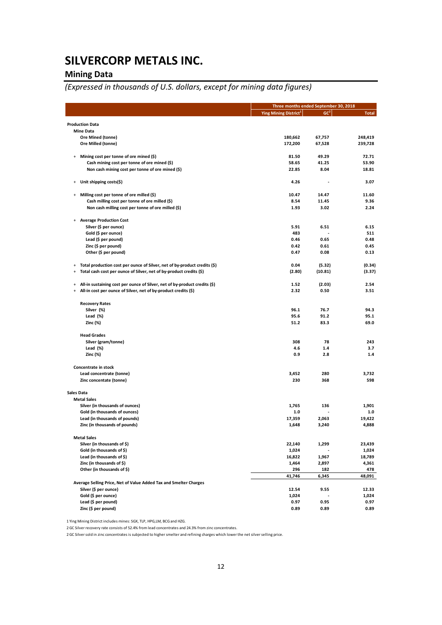### **Mining Data**

## *(Expressed in thousands of U.S. dollars, except for mining data figures)*

|                                                                                                         |                                   | Three months ended September 30, 2018 |              |  |  |
|---------------------------------------------------------------------------------------------------------|-----------------------------------|---------------------------------------|--------------|--|--|
|                                                                                                         | Ying Mining District <sup>1</sup> | GC <sup>2</sup>                       | <b>Total</b> |  |  |
| <b>Production Data</b>                                                                                  |                                   |                                       |              |  |  |
| <b>Mine Data</b>                                                                                        |                                   |                                       |              |  |  |
| Ore Mined (tonne)                                                                                       | 180,662                           | 67,757                                | 248,419      |  |  |
| Ore Milled (tonne)                                                                                      | 172,200                           | 67,528                                | 239,728      |  |  |
|                                                                                                         |                                   |                                       |              |  |  |
| Mining cost per tonne of ore mined (\$)<br>$\begin{array}{c} + \end{array}$                             | 81.50                             | 49.29                                 | 72.71        |  |  |
| Cash mining cost per tonne of ore mined (\$)                                                            | 58.65                             | 41.25                                 | 53.90        |  |  |
| Non cash mining cost per tonne of ore mined (\$)                                                        | 22.85                             | 8.04                                  | 18.81        |  |  |
| Unit shipping costs(\$)<br>$\begin{array}{c} + \end{array}$                                             | 4.26                              |                                       | 3.07         |  |  |
|                                                                                                         |                                   |                                       |              |  |  |
| Milling cost per tonne of ore milled (\$)<br>$\ddot{}$                                                  | 10.47                             | 14.47                                 | 11.60        |  |  |
| Cash milling cost per tonne of ore milled (\$)                                                          | 8.54                              | 11.45                                 | 9.36         |  |  |
| Non cash milling cost per tonne of ore milled (\$)                                                      | 1.93                              | 3.02                                  | 2.24         |  |  |
| <b>Average Production Cost</b><br>$\ddot{}$                                                             |                                   |                                       |              |  |  |
| Silver (\$ per ounce)                                                                                   | 5.91                              | 6.51                                  | 6.15         |  |  |
| Gold (\$ per ounce)                                                                                     | 483                               |                                       | 511          |  |  |
| Lead (\$ per pound)                                                                                     | 0.46                              | 0.65                                  | 0.48         |  |  |
| Zinc (\$ per pound)                                                                                     | 0.42                              | 0.61                                  | 0.45         |  |  |
| Other (\$ per pound)                                                                                    | 0.47                              | 0.08                                  | 0.13         |  |  |
|                                                                                                         |                                   |                                       |              |  |  |
| Total production cost per ounce of Silver, net of by-product credits (\$)<br>$\ddot{}$                  | 0.04                              | (5.32)                                | (0.34)       |  |  |
| Total cash cost per ounce of Silver, net of by-product credits (\$)<br>$\begin{array}{c} + \end{array}$ | (2.80)                            | (10.81)                               | (3.37)       |  |  |
| All-in sustaining cost per ounce of Silver, net of by-product credits (\$)<br>$\ddot{}$                 | 1.52                              | (2.03)                                | 2.54         |  |  |
| All-in cost per ounce of Silver, net of by-product credits (\$)<br>$\begin{array}{c} + \end{array}$     | 2.32                              | 0.50                                  | 3.51         |  |  |
|                                                                                                         |                                   |                                       |              |  |  |
| <b>Recovery Rates</b>                                                                                   |                                   |                                       |              |  |  |
| Silver (%)                                                                                              | 96.1                              | 76.7                                  | 94.3         |  |  |
| Lead $(% )$                                                                                             | 95.6                              | 91.2                                  | 95.1         |  |  |
| Zinc (%)                                                                                                | 51.2                              | 83.3                                  | 69.0         |  |  |
| <b>Head Grades</b>                                                                                      |                                   |                                       |              |  |  |
| Silver (gram/tonne)                                                                                     | 308                               | 78                                    | 243          |  |  |
| Lead $(% )$                                                                                             | 4.6                               | 1.4                                   | 3.7          |  |  |
| Zinc (%)                                                                                                | 0.9                               | 2.8                                   | 1.4          |  |  |
|                                                                                                         |                                   |                                       |              |  |  |
| Concentrate in stock                                                                                    |                                   |                                       |              |  |  |
| Lead concentrate (tonne)                                                                                | 3,452                             | 280                                   | 3,732        |  |  |
| Zinc concentate (tonne)                                                                                 | 230                               | 368                                   | 598          |  |  |
| Sales Data                                                                                              |                                   |                                       |              |  |  |
| <b>Metal Sales</b>                                                                                      |                                   |                                       |              |  |  |
| Silver (in thousands of ounces)                                                                         | 1,765                             | 136                                   | 1,901        |  |  |
| Gold (in thousands of ounces)                                                                           | 1.0                               |                                       | 1.0          |  |  |
| Lead (in thousands of pounds)                                                                           | 17,359                            | 2,063                                 | 19,422       |  |  |
| Zinc (in thousands of pounds)                                                                           | 1,648                             | 3,240                                 | 4,888        |  |  |
|                                                                                                         |                                   |                                       |              |  |  |
| <b>Metal Sales</b><br>Silver (in thousands of \$)                                                       | 22,140                            | 1,299                                 | 23,439       |  |  |
| Gold (in thousands of \$)                                                                               | 1,024                             |                                       | 1,024        |  |  |
| Lead (in thousands of \$)                                                                               | 16,822                            | 1,967                                 | 18,789       |  |  |
| Zinc (in thousands of \$)                                                                               | 1,464                             | 2,897                                 | 4,361        |  |  |
| Other (in thousands of \$)                                                                              | 296                               | 182                                   | 478          |  |  |
|                                                                                                         | 41,746                            | 6,345                                 | 48,091       |  |  |
| Average Selling Price, Net of Value Added Tax and Smelter Charges                                       |                                   |                                       |              |  |  |
| Silver (\$ per ounce)                                                                                   | 12.54                             | 9.55                                  | 12.33        |  |  |
| Gold (\$ per ounce)                                                                                     | 1,024                             |                                       | 1,024        |  |  |
| Lead (\$ per pound)                                                                                     | 0.97                              | 0.95                                  | 0.97         |  |  |
| Zinc (\$ per pound)                                                                                     | 0.89                              | 0.89                                  | 0.89         |  |  |

1 Ying Mining District includes mines: SGX, TLP, HPG,LM, BCG and HZG.

2 GC Silver recovery rate consists of 52.4% from lead concentrates and 24.3% from zinc concentrates.

2 GC Silversold in zinc concentrates is subjected to highersmelter and refining charges which lower the net silverselling price.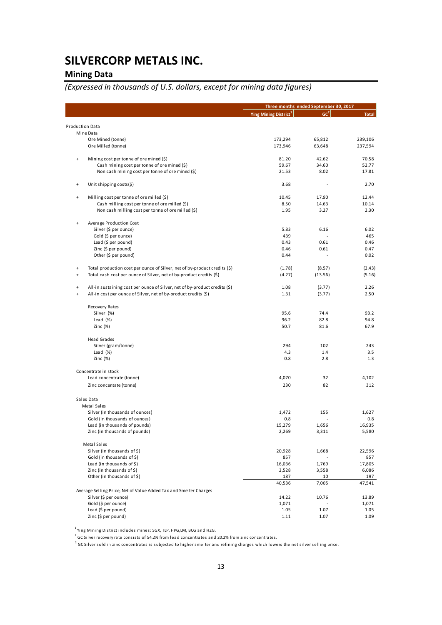## **Mining Data**

L

## *(Expressed in thousands of U.S. dollars, except for mining data figures)*

|                 |                                                                            |                                         | Three months ended September 30, 2017 |                 |
|-----------------|----------------------------------------------------------------------------|-----------------------------------------|---------------------------------------|-----------------|
|                 |                                                                            | <b>Ying Mining District<sup>1</sup></b> | $\mathsf{GC}^2$                       | <b>Total</b>    |
| Production Data |                                                                            |                                         |                                       |                 |
|                 | Mine Data                                                                  |                                         |                                       |                 |
|                 | Ore Mined (tonne)                                                          | 173,294                                 | 65,812                                | 239,106         |
|                 | Ore Milled (tonne)                                                         | 173,946                                 | 63,648                                | 237,594         |
| $\ddot{}$       | Mining cost per tonne of ore mined (\$)                                    | 81.20                                   | 42.62                                 | 70.58           |
|                 | Cash mining cost per tonne of ore mined (\$)                               | 59.67                                   | 34.60                                 | 52.77           |
|                 | Non cash mining cost per tonne of ore mined (\$)                           | 21.53                                   | 8.02                                  | 17.81           |
| $\ddot{}$       | Unit shipping $costs(\xi)$                                                 | 3.68                                    |                                       | 2.70            |
| $\ddot{}$       | Milling cost per tonne of ore milled $(\xi)$                               | 10.45                                   | 17.90                                 | 12.44           |
|                 | Cash milling cost per tonne of ore milled (\$)                             | 8.50                                    | 14.63                                 | 10.14           |
|                 | Non cash milling cost per tonne of ore milled (\$)                         | 1.95                                    | 3.27                                  | 2.30            |
| $\ddot{}$       | Average Production Cost                                                    |                                         |                                       |                 |
|                 | Silver (\$ per ounce)                                                      | 5.83                                    | 6.16                                  | 6.02            |
|                 | Gold (\$ per ounce)                                                        | 439                                     |                                       | 465             |
|                 | Lead (\$ per pound)                                                        | 0.43                                    | 0.61                                  | 0.46            |
|                 | Zinc (\$ per pound)                                                        | 0.46                                    | 0.61                                  | 0.47            |
|                 | Other (\$ per pound)                                                       | 0.44                                    |                                       | 0.02            |
| $\ddot{}$       | Total production cost per ounce of Silver, net of by-product credits (\$)  | (1.78)                                  | (8.57)                                | (2.43)          |
| $\ddot{}$       | Total cash cost per ounce of Silver, net of by-product credits (\$)        | (4.27)                                  | (13.56)                               | (5.16)          |
| $\ddot{}$       | All-in sustaining cost per ounce of Silver, net of by-product credits (\$) | 1.08                                    | (3.77)                                | 2.26            |
| $\ddot{}$       | All-in cost per ounce of Silver, net of by-product credits (\$)            | 1.31                                    | (3.77)                                | 2.50            |
|                 | Recovery Rates                                                             |                                         |                                       |                 |
|                 | Silver (%)                                                                 | 95.6                                    | 74.4                                  | 93.2            |
|                 | Lead (%)                                                                   | 96.2                                    | 82.8                                  | 94.8            |
|                 | Zinc $(%$                                                                  | 50.7                                    | 81.6                                  | 67.9            |
|                 | <b>Head Grades</b>                                                         |                                         |                                       |                 |
|                 | Silver (gram/tonne)                                                        | 294                                     | 102                                   | 243             |
|                 | Lead (%)                                                                   | 4.3                                     | 1.4                                   | 3.5             |
|                 | Zinc $(%$                                                                  | 0.8                                     | 2.8                                   | 1.3             |
|                 | Concentrate in stock                                                       |                                         |                                       |                 |
|                 | Lead concentrate (tonne)                                                   | 4,070                                   | 32                                    | 4,102           |
|                 | Zinc concentate (tonne)                                                    | 230                                     | 82                                    | 312             |
|                 | Sales Data                                                                 |                                         |                                       |                 |
|                 | Metal Sales                                                                |                                         |                                       |                 |
|                 | Silver (in thousands of ounces)                                            | 1,472                                   | 155                                   | 1,627           |
|                 | Gold (in thousands of ounces)                                              | 0.8                                     |                                       | 0.8             |
|                 | Lead (in thousands of pounds)<br>Zinc (in thousands of pounds)             | 15,279<br>2,269                         | 1,656<br>3,311                        | 16,935<br>5,580 |
|                 | Metal Sales                                                                |                                         |                                       |                 |
|                 | Silver (in thousands of \$)                                                | 20,928                                  | 1,668                                 | 22,596          |
|                 | Gold (in thousands of \$)                                                  | 857                                     |                                       | 857             |
|                 | Lead (in thousands of \$)                                                  | 16,036                                  | 1,769                                 | 17,805          |
|                 | Zinc (in thousands of \$)                                                  | 2,528                                   | 3,558                                 | 6,086           |
|                 | Other (in thousands of \$)                                                 | 187                                     | 10                                    | 197             |
|                 | Average Selling Price, Net of Value Added Tax and Smelter Charges          | 40,536                                  | 7,005                                 | 47,541          |
|                 | Silver (\$ per ounce)                                                      | 14.22                                   | 10.76                                 | 13.89           |
|                 | Gold (\$ per ounce)                                                        | 1,071                                   |                                       | 1,071           |
|                 | Lead (\$ per pound)                                                        | 1.05                                    | 1.07                                  | 1.05            |
|                 | Zinc (\$ per pound)                                                        | 1.11                                    | 1.07                                  | 1.09            |

 $^{\rm 1}$  Ying Mining District includes mines: SGX, TLP, HPG,LM, BCG and HZG.

 $2^{2}$  GC Silver recovery rate consists of 54.2% from lead concentrates and 20.2% from zinc concentrates.

 $2$  GC Silver sold in zinc concentrates is subjected to higher smelter and refining charges which lowers the net silver selling price.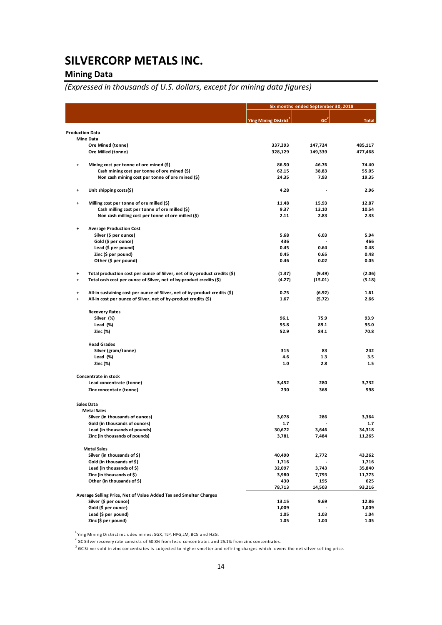## **Mining Data**

## *(Expressed in thousands of U.S. dollars, except for mining data figures)*

|                        |                                                                            | Six months ended September 30, 2018 |                 |                 |
|------------------------|----------------------------------------------------------------------------|-------------------------------------|-----------------|-----------------|
|                        |                                                                            | Ying Mining District <sup>1</sup>   | GC <sup>2</sup> | <b>Total</b>    |
| <b>Production Data</b> |                                                                            |                                     |                 |                 |
|                        | <b>Mine Data</b>                                                           |                                     |                 |                 |
|                        | Ore Mined (tonne)                                                          | 337,393                             | 147,724         | 485,117         |
|                        | Ore Milled (tonne)                                                         | 328,129                             | 149,339         | 477,468         |
| $\ddot{}$              | Mining cost per tonne of ore mined (\$)                                    | 86.50                               | 46.76           | 74.40           |
|                        | Cash mining cost per tonne of ore mined (\$)                               | 62.15                               | 38.83           | 55.05           |
|                        | Non cash mining cost per tonne of ore mined (\$)                           | 24.35                               | 7.93            | 19.35           |
| $\ddot{}$              | Unit shipping costs(\$)                                                    | 4.28                                |                 | 2.96            |
| $\ddot{}$              | Milling cost per tonne of ore milled (\$)                                  | 11.48                               | 15.93           | 12.87           |
|                        | Cash milling cost per tonne of ore milled (\$)                             | 9.37                                | 13.10           | 10.54           |
|                        | Non cash milling cost per tonne of ore milled (\$)                         | 2.11                                | 2.83            | 2.33            |
| $\ddot{}$              | <b>Average Production Cost</b><br>Silver (\$ per ounce)                    | 5.68                                | 6.03            | 5.94            |
|                        | Gold (\$ per ounce)                                                        | 436                                 |                 | 466             |
|                        | Lead (\$ per pound)                                                        | 0.45                                | 0.64            | 0.48            |
|                        | Zinc (\$ per pound)                                                        | 0.45                                | 0.65            | 0.48            |
|                        | Other (\$ per pound)                                                       | 0.46                                | 0.02            | 0.05            |
| ÷                      | Total production cost per ounce of Silver, net of by-product credits (\$)  | (1.37)                              | (9.49)          | (2.06)          |
| $\ddot{}$              | Total cash cost per ounce of Silver, net of by-product credits (\$)        | (4.27)                              | (15.01)         | (5.18)          |
| $\ddot{}$              | All-in sustaining cost per ounce of Silver, net of by-product credits (\$) | 0.75                                | (6.92)          | 1.61            |
| $\ddot{}$              | All-in cost per ounce of Silver, net of by-product credits (\$)            | 1.67                                | (5.72)          | 2.66            |
|                        | <b>Recovery Rates</b>                                                      |                                     |                 |                 |
|                        | Silver (%)                                                                 | 96.1                                | 75.9            | 93.9            |
|                        | Lead (%)                                                                   | 95.8                                | 89.1            | 95.0            |
|                        | Zinc (%)                                                                   | 52.9                                | 84.1            | 70.8            |
|                        | <b>Head Grades</b><br>Silver (gram/tonne)                                  | 315                                 | 83              | 242             |
|                        | Lead (%)                                                                   | 4.6                                 | 1.3             | 3.5             |
|                        | Zinc (%)                                                                   | 1.0                                 | 2.8             | 1.5             |
|                        | Concentrate in stock                                                       |                                     |                 |                 |
|                        | Lead concentrate (tonne)                                                   | 3,452                               | 280             | 3,732           |
|                        | Zinc concentate (tonne)                                                    | 230                                 | 368             | 598             |
|                        | Sales Data                                                                 |                                     |                 |                 |
|                        | <b>Metal Sales</b>                                                         |                                     |                 |                 |
|                        | Silver (in thousands of ounces)                                            | 3,078                               | 286             | 3,364           |
|                        | Gold (in thousands of ounces)                                              | 1.7                                 |                 | 1.7             |
|                        | Lead (in thousands of pounds)                                              | 30,672                              | 3,646           | 34,318          |
|                        | Zinc (in thousands of pounds)                                              | 3,781                               | 7,484           | 11,265          |
|                        | <b>Metal Sales</b>                                                         |                                     |                 |                 |
|                        | Silver (in thousands of \$)                                                | 40,490                              | 2,772           | 43,262          |
|                        | Gold (in thousands of \$)<br>Lead (in thousands of \$)                     | 1,716<br>32,097                     | 3,743           | 1,716<br>35,840 |
|                        | Zinc (in thousands of \$)                                                  | 3,980                               | 7,793           | 11,773          |
|                        | Other (in thousands of \$)                                                 | 430                                 | 195             | 625             |
|                        |                                                                            | 78,713                              | 14,503          | 93,216          |
|                        | Average Selling Price, Net of Value Added Tax and Smelter Charges          |                                     |                 |                 |
|                        | Silver (\$ per ounce)                                                      | 13.15                               | 9.69            | 12.86           |
|                        | Gold (\$ per ounce)                                                        | 1,009                               |                 | 1,009           |
|                        | Lead (\$ per pound)                                                        | 1.05                                | 1.03            | 1.04            |
|                        | Zinc (\$ per pound)                                                        | 1.05                                | 1.04            | 1.05            |

<sup>1</sup> Ying Mining District includes mines: SGX, TLP, HPG,LM, BCG and HZG.<br><sup>2</sup> GC Silver recovery rate consists of 50.8% from lead concentrates and 25.1% from zinc concentrates.

 $2$  GC Silver sold in zinc concentrates is subjected to higher smelter and refining charges which lowers the net silver selling price.